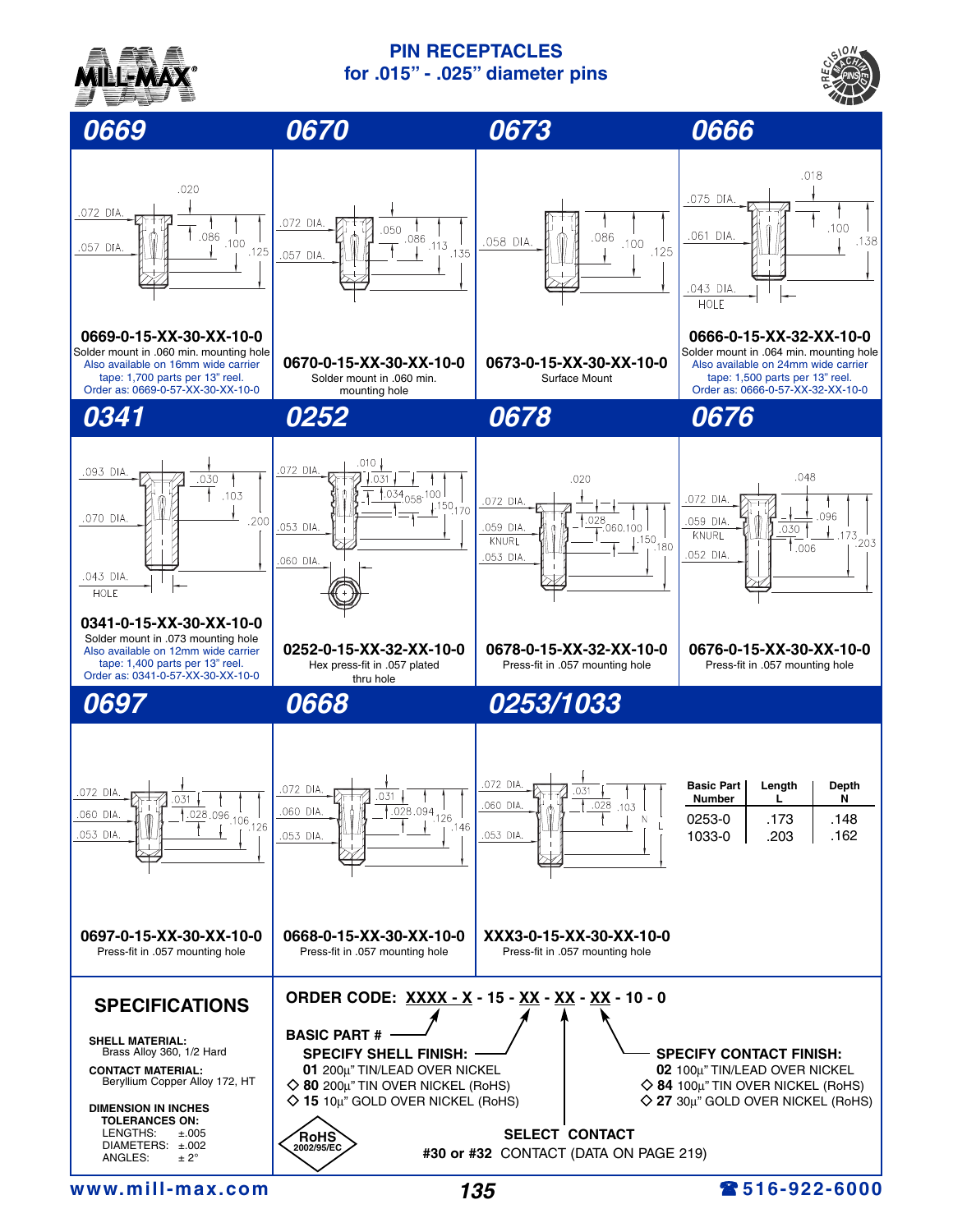

## **PIN RECEPTACLES for .015" - .025" diameter pins**